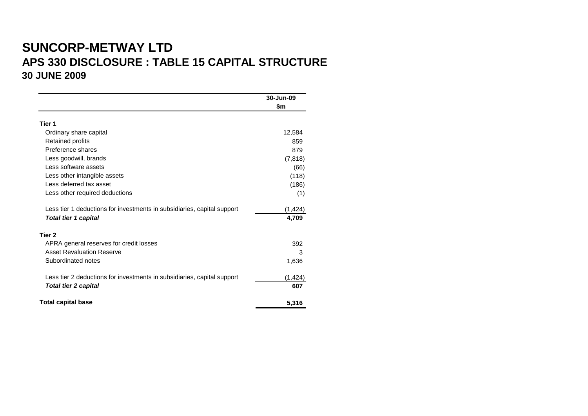# **SUNCORP-METWAY LTD APS 330 DISCLOSURE : TABLE 15 CAPITAL STRUCTURE 30 JUNE 2009**

|                                                                         | 30-Jun-09 |
|-------------------------------------------------------------------------|-----------|
|                                                                         | \$m       |
| Tier 1                                                                  |           |
| Ordinary share capital                                                  | 12,584    |
| Retained profits                                                        | 859       |
| Preference shares                                                       | 879       |
| Less goodwill, brands                                                   | (7, 818)  |
| Less software assets                                                    | (66)      |
| Less other intangible assets                                            | (118)     |
| Less deferred tax asset                                                 | (186)     |
| Less other required deductions                                          | (1)       |
| Less tier 1 deductions for investments in subsidiaries, capital support | (1, 424)  |
| <b>Total tier 1 capital</b>                                             | 4,709     |
| Tier 2                                                                  |           |
| APRA general reserves for credit losses                                 | 392       |
| <b>Asset Revaluation Reserve</b>                                        | 3         |
| Subordinated notes                                                      | 1,636     |
| Less tier 2 deductions for investments in subsidiaries, capital support | (1, 424)  |
| <b>Total tier 2 capital</b>                                             | 607       |
| <b>Total capital base</b>                                               | 5,316     |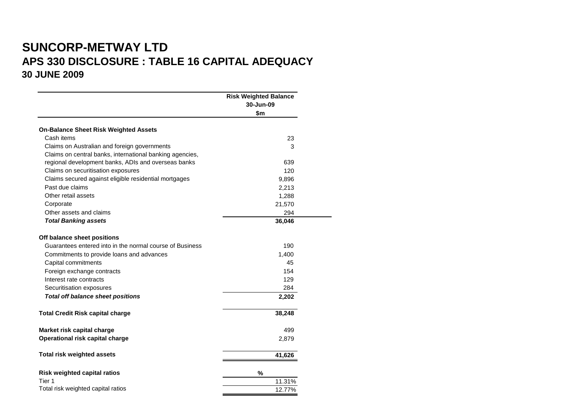## **SUNCORP-METWAY LTD APS 330 DISCLOSURE : TABLE 16 CAPITAL ADEQUACY 30 JUNE 2009**

|                                                          | <b>Risk Weighted Balance</b><br>30-Jun-09<br>\$m |
|----------------------------------------------------------|--------------------------------------------------|
| <b>On-Balance Sheet Risk Weighted Assets</b>             |                                                  |
| Cash items                                               | 23                                               |
| Claims on Australian and foreign governments             | 3                                                |
| Claims on central banks, international banking agencies, |                                                  |
| regional development banks, ADIs and overseas banks      | 639                                              |
| Claims on securitisation exposures                       | 120                                              |
| Claims secured against eligible residential mortgages    | 9,896                                            |
| Past due claims                                          | 2,213                                            |
| Other retail assets                                      | 1,288                                            |
| Corporate                                                | 21,570                                           |
| Other assets and claims                                  | 294                                              |
| <b>Total Banking assets</b>                              | 36,046                                           |
| Off balance sheet positions                              |                                                  |
| Guarantees entered into in the normal course of Business | 190                                              |
| Commitments to provide loans and advances                | 1,400                                            |
| Capital commitments                                      | 45                                               |
| Foreign exchange contracts                               | 154                                              |
| Interest rate contracts                                  | 129                                              |
| Securitisation exposures                                 | 284                                              |
| <b>Total off balance sheet positions</b>                 | 2,202                                            |
| <b>Total Credit Risk capital charge</b>                  | 38,248                                           |
| Market risk capital charge                               | 499                                              |
| Operational risk capital charge                          | 2,879                                            |
| <b>Total risk weighted assets</b>                        | 41,626                                           |
| <b>Risk weighted capital ratios</b>                      | $\%$                                             |
| Tier 1                                                   | 11.31%                                           |
| Total risk weighted capital ratios                       | 12.77%                                           |